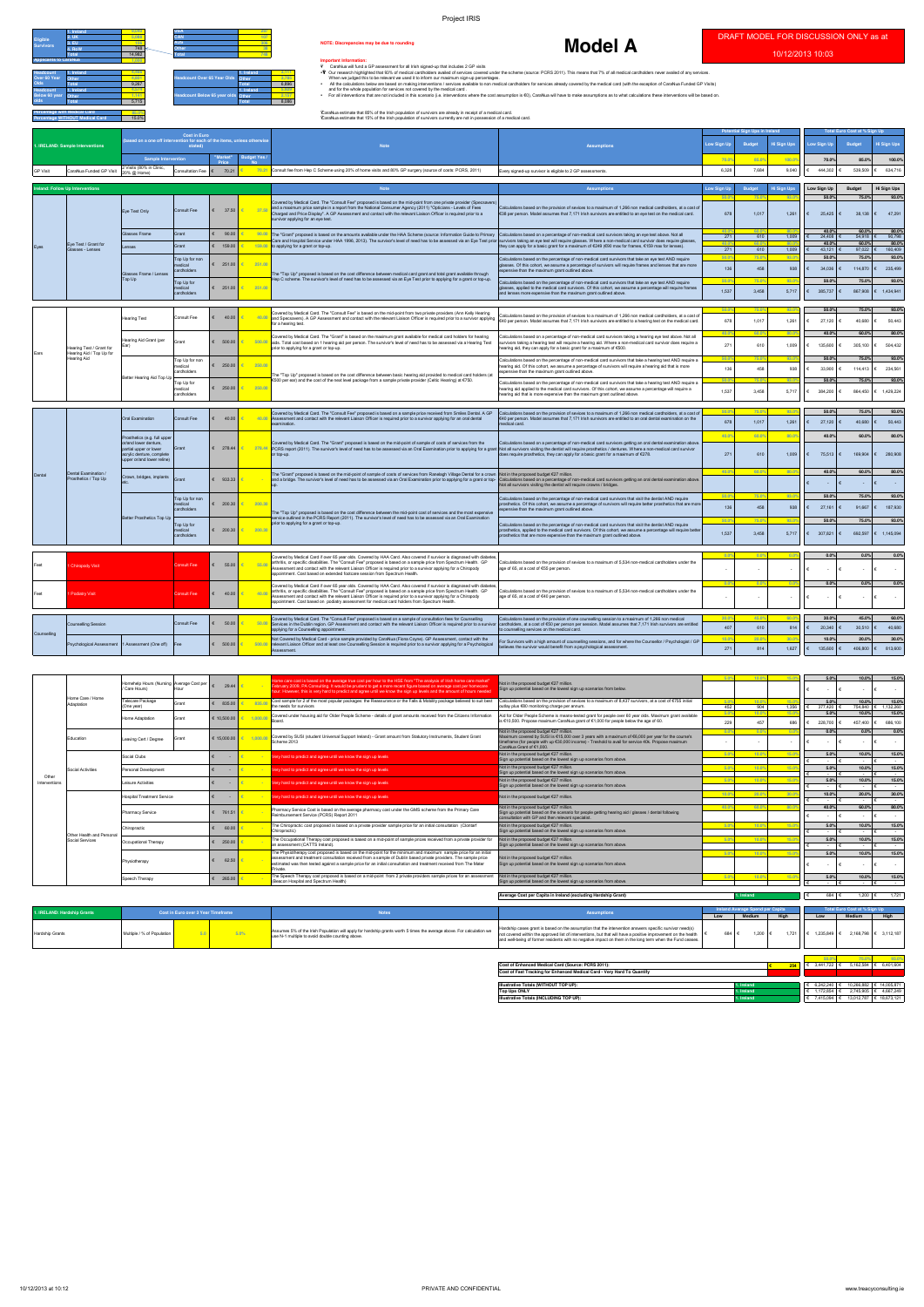**50.0% 75.0% 93.0% 50.0% 75.0% 93.0%** 136 458 938 € 27,161 € 91,667 € 187,930 **50.0% 75.0% 93.0% 50.0% 75.0% 93.0%** 1,537 3,458 5,717  $\epsilon$  307,821  $\epsilon$  692,597  $\epsilon$  1,145,094

**50.0% 75.0% 93.0% 50.0% 75.0% 93.0%** 678 1,017 1,261 € 27,120 € 40,680 € 50,443 **40.0% 60.0% 80.0% 40.0% 60.0% 80.0%** 271 610 1,009 € 135,600 € 305,100 € 504,432 **50.0% 75.0% 93.0% 50.0% 75.0% 93.0%** 136 458 938 € 33,900 € 114,413 € 234,561 **50.0% 75.0% 93.0% 50.0% 75.0% 93.0%** 1,537 3,458 5,717  $\epsilon$  384,200  $\epsilon$  864,450  $\epsilon$  1,429,224 **50.0% 75.0% 93.0% 50.0% 75.0% 93.0%** 678 1,017 1,261  $\begin{vmatrix} 6 & 27 & 120 \\ 6 & 27 & 120 \\ 6 & 6 & 40 & 680 \end{vmatrix}$   $\begin{vmatrix} 6 & 50 & 443 \\ 6 & 50 & 443 \end{vmatrix}$ **40.0% 60.0% 80.0% 40.0% 60.0% 80.0%** 271 610 1,009 € 75,513 € 169,904 € 280,908 **40.0% 60.0% 80.0% 40.0% 60.0% 80.0%**

€ - € - € -

**0.0% 0.0% 0.0% 0.0% 0.0% 0.0%** - - - € - € - € - **0.0% 0.0% 0.0% 0.0% 0.0% 0.0%** - - - € - € - € -

Better Hearing Aid Top Up

ring Aid Grant (per

Better Prosthetics Top Up

| <b>B Totals (WITHOUT TOP UP):</b><br><b>Illustrative</b> | . назна    | 3.242.240         | 10.266.882 | 14.005.87                           |
|----------------------------------------------------------|------------|-------------------|------------|-------------------------------------|
| <b>Top Ups ONLY</b>                                      | . Ireland  | 170001<br>172.854 | 2.745.905  | 4.667.249                           |
| Illustrative Totals (INCLUDING TOP UP):                  | 1. Ireland | .415.094          | 13.012.787 | 40.07<br>$\overline{A}$<br>8.6/3.12 |

Ears

Hearing Test / Grant for Hearing Aid / Top Up for Hearing Aid

Hearing Test Consult Fee **€ 40.00**

|                                                                                                                      |                                                                                                                                                      |                                                                                                                                                                      |                                                                        |                              |                                            |                                                    | <b>Project IRIS</b>                                                                                                                                                                                                                                                                                                                                                                                                                                                                                                                                                                                                                                                                                                                                                                                                                                                                                                                                                                                                                                                                                                                                                                              |                                                                                                                                                                                                                                                                                                                                                                                                                                                          |                    |                                      |                    |                                                           |                                     |                               |
|----------------------------------------------------------------------------------------------------------------------|------------------------------------------------------------------------------------------------------------------------------------------------------|----------------------------------------------------------------------------------------------------------------------------------------------------------------------|------------------------------------------------------------------------|------------------------------|--------------------------------------------|----------------------------------------------------|--------------------------------------------------------------------------------------------------------------------------------------------------------------------------------------------------------------------------------------------------------------------------------------------------------------------------------------------------------------------------------------------------------------------------------------------------------------------------------------------------------------------------------------------------------------------------------------------------------------------------------------------------------------------------------------------------------------------------------------------------------------------------------------------------------------------------------------------------------------------------------------------------------------------------------------------------------------------------------------------------------------------------------------------------------------------------------------------------------------------------------------------------------------------------------------------------|----------------------------------------------------------------------------------------------------------------------------------------------------------------------------------------------------------------------------------------------------------------------------------------------------------------------------------------------------------------------------------------------------------------------------------------------------------|--------------------|--------------------------------------|--------------------|-----------------------------------------------------------|-------------------------------------|-------------------------------|
| Eligible<br><b>Survivors</b>                                                                                         | Lireland<br>$2.$ UK<br>3. <b>EU</b><br>4. RoW<br>Total                                                                                               | 9.040<br>297<br>107<br>5.088<br>CAN<br>306<br>106<br><b>AUS</b><br>NOTE: Discrepancies may be due to rounding<br>748<br><b>Other</b><br>38<br>Total<br>748<br>14,982 |                                                                        |                              |                                            |                                                    |                                                                                                                                                                                                                                                                                                                                                                                                                                                                                                                                                                                                                                                                                                                                                                                                                                                                                                                                                                                                                                                                                                                                                                                                  | <b>Model A</b>                                                                                                                                                                                                                                                                                                                                                                                                                                           |                    |                                      |                    | DRAFT MODEL FOR DISCUSSION ONLY as at<br>10/12/2013 10:03 |                                     |                               |
| <b>Applicants to CaraNua</b><br><b>Headcount</b><br>Over 60 Year<br><b>Olds</b><br><b>Headcount</b><br>Below 60 year | 1. Ireland<br>Other<br><b>Total</b><br>1. Ireland<br>Other<br>Total<br><b>Percentage with Medical Card</b><br><b>Percentage WITHOUT Medical Card</b> | 1.000<br>4.466<br>4.801<br>9.267<br>4.574<br>1.141<br>5.715<br>85.0%<br>15.0%                                                                                        | eadcount Over 65 Year Olds Other<br>Headcount Below 65 year olds Other |                              | 1. Ireland<br>Total<br>1. Ireland<br>Total | 3,111<br>3.785<br>6.896<br>5.929<br>2.157<br>8.086 | <b>Important Information:</b><br>V CaraNua will fund a GP assessment for all Irish signed-up that includes 2 GP visits<br>. ? Our research highlighted that 93% of medical cardholders availed of services covered under the scheme (source: PCRS 2011). This means that 7% of all medical cardholders never availed of any services.<br>When we judged this to be relevant we used it to inform our maximum sign-up percentages.<br>. All the calculations below are based on making interventions / services available to non medical cardholders for services already covered by the medical card (with the exception of CaraNua Funded GP Visits)<br>and for the whole population for services not covered by the medical card.<br>. For all interventions that are not included in this scenario (i.e. interventions where the cost assumption is €0), CaraNua will have to make assumptions as to what calculations these interventions will be based on.<br>CaraNua estimate that 85% of the Irish population of survivors are already in receipt of a medical card.<br>CaraNua estimate that 15% of the Irish population of survivors currently are not in possession of a medical card. |                                                                                                                                                                                                                                                                                                                                                                                                                                                          |                    |                                      |                    |                                                           |                                     |                               |
|                                                                                                                      | <b>Cost in Euro</b><br>(based on a one off intervention for each of the items, unless otherwise                                                      |                                                                                                                                                                      |                                                                        |                              |                                            |                                                    |                                                                                                                                                                                                                                                                                                                                                                                                                                                                                                                                                                                                                                                                                                                                                                                                                                                                                                                                                                                                                                                                                                                                                                                                  |                                                                                                                                                                                                                                                                                                                                                                                                                                                          |                    | <b>Potential Sign Ups in Ireland</b> |                    |                                                           | <b>Total Euro Cost at % Sign Up</b> |                               |
| 1. IRELAND: Sample Interventions                                                                                     | stated)                                                                                                                                              |                                                                                                                                                                      |                                                                        |                              |                                            | <b>Note</b>                                        | <b>Assumptions</b>                                                                                                                                                                                                                                                                                                                                                                                                                                                                                                                                                                                                                                                                                                                                                                                                                                                                                                                                                                                                                                                                                                                                                                               | <b>Low Sign Up</b>                                                                                                                                                                                                                                                                                                                                                                                                                                       | <b>Budget</b>      | <b>Hi Sign Ups</b>                   | <b>Low Sign Up</b> | <b>Budget</b>                                             | <b>Hi Sign Ups</b>                  |                               |
|                                                                                                                      |                                                                                                                                                      |                                                                                                                                                                      | "Market"<br>Sample Intervention<br>Price                               |                              | <b>Budget Yes/</b><br><b>No</b>            |                                                    |                                                                                                                                                                                                                                                                                                                                                                                                                                                                                                                                                                                                                                                                                                                                                                                                                                                                                                                                                                                                                                                                                                                                                                                                  |                                                                                                                                                                                                                                                                                                                                                                                                                                                          | 70.0               | 85.09                                | 100.0%             | 70.0%                                                     | 85.0%                               | 100.0%                        |
| <b>GP Visit</b>                                                                                                      | CaraNua Funded GP Visit                                                                                                                              | 2 Visits (80% in Clinic.<br>20% @ Home)                                                                                                                              | Consultation Fee € 70.21                                               |                              | 70.21                                      |                                                    | Consult fee from Hep C Scheme using 20% of home visits and 80% GP surgery (source of costs: PCRS, 2011)                                                                                                                                                                                                                                                                                                                                                                                                                                                                                                                                                                                                                                                                                                                                                                                                                                                                                                                                                                                                                                                                                          | Every signed-up survivor is eligible to 2 GP assessments.                                                                                                                                                                                                                                                                                                                                                                                                | 6.328              | 7,684                                | 9,040              | 444,302                                                   | 539,509                             | 634,716<br>€                  |
|                                                                                                                      | Ireland: Follow Up Interventions                                                                                                                     |                                                                                                                                                                      |                                                                        |                              |                                            |                                                    | <b>Note</b>                                                                                                                                                                                                                                                                                                                                                                                                                                                                                                                                                                                                                                                                                                                                                                                                                                                                                                                                                                                                                                                                                                                                                                                      | <b>Assumptions</b>                                                                                                                                                                                                                                                                                                                                                                                                                                       | <b>Low Sign Up</b> | <b>Budget</b>                        | <b>Hi Sign Ups</b> | <b>Low Sign Up</b>                                        | <b>Budget</b>                       | <b>Hi Sign Ups</b>            |
|                                                                                                                      |                                                                                                                                                      | Eye Test Only                                                                                                                                                        | Consult Fee                                                            | 37.50<br>$\epsilon$          | 37.5                                       |                                                    | Covered by Medical Card. The "Consult Fee" proposed is based on the mid-point from one private provider (Specsavers)<br>and a maximum price sample in a report from the National Consumer Agency (2011) "Opticians - Levels of Fees<br>Charged and Price Display". A GP Assessment and contact with the relevant Liaison Officer is required prior to a                                                                                                                                                                                                                                                                                                                                                                                                                                                                                                                                                                                                                                                                                                                                                                                                                                          | Calculations based on the provision of sevices to a maximum of 1,266 non medical cardholders, at a cost of<br>€38 per person. Model assumes that 7,171 Irish survivors are entitled to an eye test on the medical card.                                                                                                                                                                                                                                  | 50.0%<br>678       | 75.0%<br>1.017                       | 93.0               | 50.0%                                                     | 75.0%<br>38,138                     | 93.0%<br>47,291<br>$\epsilon$ |
|                                                                                                                      |                                                                                                                                                      |                                                                                                                                                                      |                                                                        |                              |                                            | survivor applying for an eye test.                 |                                                                                                                                                                                                                                                                                                                                                                                                                                                                                                                                                                                                                                                                                                                                                                                                                                                                                                                                                                                                                                                                                                                                                                                                  |                                                                                                                                                                                                                                                                                                                                                                                                                                                          |                    |                                      | 1,261              | 25,425                                                    |                                     |                               |
|                                                                                                                      |                                                                                                                                                      | Glasses Frame                                                                                                                                                        | Grant                                                                  | 90.00                        | 90.00                                      |                                                    |                                                                                                                                                                                                                                                                                                                                                                                                                                                                                                                                                                                                                                                                                                                                                                                                                                                                                                                                                                                                                                                                                                                                                                                                  | The "Grant" proposed is based on the amounts available under the HAA Scheme (source: Information Guide to Primary   Calculations based on a percentage of non-medical card survivors taking an eye test above. Not all<br>Care and Hospital Service under HAA 1996, 2013). The survivor's level of need has to be assessed via an Eye Test prior survivors taking an eye test will require qlasses. Where a non-medical card survivor does require glass | 40.0%<br>271       | 60.0%<br>610                         | 80.0%<br>1.009     | 40.0%<br>$24,408$ $\in$                                   | 60.0%<br>$54,918$ $\in$             | 80.0%<br>90.798               |
| Eves                                                                                                                 | Eve Test / Grant for<br>Glasses - Lenses                                                                                                             | Lenses                                                                                                                                                               | Grant                                                                  | $\epsilon$ 159.00            | 159.00                                     | to applying for a grant or top-up.                 |                                                                                                                                                                                                                                                                                                                                                                                                                                                                                                                                                                                                                                                                                                                                                                                                                                                                                                                                                                                                                                                                                                                                                                                                  | they can apply for a basic grant for a maximum of €249 (€90 max for frames, €159 max for lenses).                                                                                                                                                                                                                                                                                                                                                        | 40.0%<br>271       | 60.0%<br>610                         | 80.0<br>1.009      | 40.0%<br>43,121                                           | 60.0%<br>97,022                     | 80.0%<br>160,409              |
|                                                                                                                      |                                                                                                                                                      | Glasses Frame / Lenses                                                                                                                                               | Top Up for non<br>medical<br>cardholders                               | $\epsilon$ 251.00 $\epsilon$ | 251.00                                     |                                                    | The "Top Up" proposed is based on the cost difference between medical card grant and total grant available through                                                                                                                                                                                                                                                                                                                                                                                                                                                                                                                                                                                                                                                                                                                                                                                                                                                                                                                                                                                                                                                                               | Calculations based on the percentage of non-medical card survivors that take an eye test AND require<br>glasses. Of this cohort, we assume a percentage of survivors will require frames and lenses that are more<br>expensive than the maximum grant outlined above.                                                                                                                                                                                    | 50.0%<br>136       | 75.0%<br>458                         | 93.0%<br>938       | 50.0%<br>34.036                                           | 75.0%<br>114,870                    | 93.0%<br>235,499              |
|                                                                                                                      |                                                                                                                                                      | Top Up                                                                                                                                                               | Top Up for<br>medical<br>cardholders                                   | $\epsilon$ 251.00 $\epsilon$ | 251.00                                     |                                                    | Hep C scheme. The survivor's level of need has to be assessed via an Eye Test prior to applying for a grant or top-up.                                                                                                                                                                                                                                                                                                                                                                                                                                                                                                                                                                                                                                                                                                                                                                                                                                                                                                                                                                                                                                                                           | Calculations based on the percentage of non-medical card survivors that take an eye test AND require<br>glasses, applied to the medical card survivors. Of this cohort, we assume a percentage will require frames<br>and lenses more expensive than the maximum grant outlined above.                                                                                                                                                                   | 50.0%<br>1.537     | 75.0%<br>3.458                       | 93.0%<br>5.717     | 50.0%<br>$385.737 \in$<br>$\epsilon$                      | 75.0%<br>867,908                    | 93.0%<br>$\epsilon$ 1.434.941 |

Calculations based on a percentage of non-medical card survivors getting an oral dental examination above.<br>Not all survivors visiting the dentist will require prosthetics / dentures. Where a non-medical card survivor<br>does

Calculations based on the provision of sevices to a maximum of 1,266 non medical cardholders, at a cost of<br>€40 per person. Model assumes that 7,171 Irish survivors are entitled to an oral dental examination on the<br>medical

|                        | <b>Counselling Session</b>                  |                                                  | Consult Fee              | 50.00                | 50.00   | Covered by Medical Card. The "Consult Fee" proposed is based on a sample of consultation fees for Counselling<br>Services in the Dublin region. GP Assessment and contact with the relevant Liaison Officer is required prior to a survivor cardholders, at a cost of €50 per person per session. Model assumes that 7.171 Irish survivors are<br>applying for a Counselling appointment. | Calculations based on the provision of one counselling session to a maximum of 1,266 non medical<br>to counselling services on the medical card.                                                                                     | 30.0%<br>407 | 45.0%<br>610 | 60.0%<br>814   | 30.0%<br>20,340          | 45.0%<br>$30.510$ $6$ | 60.0%<br>40,680    |
|------------------------|---------------------------------------------|--------------------------------------------------|--------------------------|----------------------|---------|-------------------------------------------------------------------------------------------------------------------------------------------------------------------------------------------------------------------------------------------------------------------------------------------------------------------------------------------------------------------------------------------|--------------------------------------------------------------------------------------------------------------------------------------------------------------------------------------------------------------------------------------|--------------|--------------|----------------|--------------------------|-----------------------|--------------------|
| Counselling            |                                             |                                                  |                          |                      |         | Not Covered by Medical Card - price sample provided by CaraNua (Fiona Coyne). GP Assessment, contact with the                                                                                                                                                                                                                                                                             |                                                                                                                                                                                                                                      | 10.0%        | 20.0%        | 30.0%          | 10.0%                    | 20.0%                 | 30.0%              |
|                        |                                             | Psychological Assessment  1 Assessment (One off) |                          | $\epsilon$<br>500.00 | 500.00  | relevant Liaison Officer and at least one Counselling Session is required prior to a survivor applying for a Psychological<br>Assessment.                                                                                                                                                                                                                                                 | For Survivors with a high amount of counselling sessions, and for where the Counsellor / Psychologist / GP<br>believes the survivor would benefit from a psychological assessment.                                                   | 271          | 814          | 1,627          | 135,600                  | 406,800               | $\epsilon$ 813,600 |
|                        |                                             |                                                  |                          |                      |         |                                                                                                                                                                                                                                                                                                                                                                                           |                                                                                                                                                                                                                                      |              |              |                |                          |                       |                    |
|                        |                                             | Homehelp Hours (Nursing<br>Care Hours)           | Average Cost per<br>Hour | 29.44                |         | Home care cost is based on the average true cost per hour to the HSE from "The analysis of Irish home care market"<br>February 2009, PA Consulting. It would be prudent to get a more recent figure based on average cost per homecare                                                                                                                                                    | Not in the proposed budget €27 million.<br>Sign up potential based on the lowest sign up scenarios from below                                                                                                                        | 5.0%         | 10.0%        | 15.0%          | 5.0%                     | 10.0%                 | 15.0%<br>$\sim$    |
|                        |                                             |                                                  |                          |                      |         | hour. However, this is very hard to predict and agree until we know the sign up levels and the amount of hours needed                                                                                                                                                                                                                                                                     |                                                                                                                                                                                                                                      |              |              |                |                          |                       |                    |
|                        | Home Care / Home<br>Adaptation              | Telecare Package                                 | Grant                    | 835.00<br>$\epsilon$ | 835     | Cost sample for 2 of the most popular packages: the Reassurance or the Falls & Mobility package believed to suit best                                                                                                                                                                                                                                                                     | Calculations based on the provision of sevices to a maximum of 8,437 survivors, at a cost of $\epsilon$ 755 initial                                                                                                                  | 5.0%         | 10.0%        | 15.0%          | 5.0%                     | 10.0%                 | 15.0%              |
|                        |                                             | (One year)                                       |                          |                      |         | the needs for survivors                                                                                                                                                                                                                                                                                                                                                                   | outlay plus €80 monitoring charge per annum.                                                                                                                                                                                         | 452<br>5.0%  | 904<br>10.0% | 1,356<br>15.0% | 377,420<br>5.0%          | 754,840<br>10.0%      | 1,132,260<br>15.0% |
|                        |                                             | Home Adaptation                                  | Grant                    | 610.500.00           | 1,000.0 | Covered under housing aid for Older People Scheme - details of grant amounts received from the Citizens Information                                                                                                                                                                                                                                                                       | Aid for Older People Scheme is means-tested grant for people over 60 year olds. Maximum grant available<br>is €10,500. Propose maximum CaraNua grant of €1,000 for people below the age of 60.                                       | 229          | 457          | 686            | 228,700                  | 457,400               | 686,100            |
|                        |                                             |                                                  |                          |                      |         |                                                                                                                                                                                                                                                                                                                                                                                           | Not in the proposed budget €27 million.                                                                                                                                                                                              | 0.0%         | 0.0%         | n n%           | 0.0%                     | 0.0%                  | 0.0%               |
|                        | Education                                   | Leaving Cert / Degree                            | Grant                    | 615,000,00           | 1.000.0 | Covered by SUSI (student Universal Support Ireland) - Grant amount from Statutory Instruments, Student Grant<br>Scheme 2013                                                                                                                                                                                                                                                               | Maximum covered by SUSI is €15,000 over 3 years with a maximum of €6,000 per year for the course's<br>timeframe (for people with up €30,000 income) - Treshold to avail for service 40k. Propose maximum<br>CaraNua Grant of €1.000. | $\sim$       |              |                |                          |                       | $\sim$             |
|                        | Social Activities                           | Social Clubs                                     |                          |                      |         | Very hard to predict and agree until we know the sign up levels                                                                                                                                                                                                                                                                                                                           | Not in the proposed budget €27 million.<br>Sign up potential based on the lowest sign up scenarios from above                                                                                                                        | 5.0%         | 10.0%        | 15.0%          | 5.0%<br>$\sim$           | 10.0%<br>$\sim$       | 15.0%<br>$\sim$    |
|                        |                                             | Personal Development                             |                          |                      |         | Very hard to predict and agree until we know the sign up levels                                                                                                                                                                                                                                                                                                                           | Not in the proposed budget €27 million.<br>Sign up potential based on the lowest sign up scenarios from above                                                                                                                        | 5.0%         | 10.0%        | 15.0%          | 5.0%<br>$\sim$ 100 $\mu$ | 10.0%<br>$\sim$       | 15.0%<br>$\sim$    |
| Other<br>Interventions |                                             | Leisure Activities                               |                          |                      |         | Very hard to predict and agree until we know the sign up levels                                                                                                                                                                                                                                                                                                                           | Not in the proposed budget €27 million.<br>Sign up potential based on the lowest sign up scenarios from above                                                                                                                        | 5.0%         | 10.0%        | 15.0%          | 5.0%<br>$\sim$           | 10.0%<br>$\sim$       | 15.0%<br>$\sim$    |
|                        |                                             | <b>Hospital Treatment Service</b>                |                          | $\sim$ $\sim$        |         | Very hard to predict and agree until we know the sign up levels                                                                                                                                                                                                                                                                                                                           | Not in the proposed budget €27 million.                                                                                                                                                                                              | 10.0%        | 20.0%        | 30.0           | 10.0%                    | 20.0%                 | 30.0%              |
|                        |                                             |                                                  |                          |                      |         |                                                                                                                                                                                                                                                                                                                                                                                           | Not in the proposed budget €27 million.                                                                                                                                                                                              | 40.0%        | 60.0%        | 80.0%          | $\sim$<br>40.0%          | $\sim$<br>60.0%       | $\sim$<br>80.0%    |
|                        |                                             | Pharmacy Service                                 |                          | $\epsilon$ 761.51    |         | Pharmacy Service Cost is based on the average pharmacy cost under the GMS scheme from the Primary Care<br>Reimbursement Service (PCRS) Report 2011                                                                                                                                                                                                                                        | Sign up potential based on the scenario for people getting hearing aid / glasses / dental following<br>consultation with GP and then relevant specialist                                                                             |              |              |                |                          |                       | $\sim$             |
|                        |                                             | Chiropractic                                     |                          | 60.00                |         | The Chiropractic cost proposed is based on a private provider sample price for an initial consultation (Clontarf<br>Chiropractic)                                                                                                                                                                                                                                                         | Not in the proposed budget €27 million.<br>Sign up potential based on the lowest sign up scenarios from above                                                                                                                        | 5.0%         | 10.0%        | 15.0%          | 5.0%<br>$\sim$           | 10.0%<br>$\sim$       | 15.0%<br>$\sim$    |
|                        | Other Health and Persona<br>Social Services | Occupational Therapy                             |                          | 250.00               |         | The Occupational Therapy cost proposed is based on a mid-point of sample prices received from a private provider for<br>an assessment (CATTS Ireland)                                                                                                                                                                                                                                     | Not in the proposed budget €27 million.<br>Sign up potential based on the lowest sign up scenarios from above                                                                                                                        | 5.0%         | 10.0%        | 15.0%          | 5.0%<br>$\sim$           | 10.0%<br>$\sim$       | 15.0%<br>$\sim$    |
|                        |                                             |                                                  |                          |                      |         | The Physiotherapy cost proposed is based on the mid-point for the minimum and maximum sample price for an initial                                                                                                                                                                                                                                                                         |                                                                                                                                                                                                                                      | 5.0%         | 10.0%        | 15.0%          | 5.0%                     | 10.0%                 | 15.0%              |
|                        |                                             | Physiotherapy                                    |                          | 62.50                |         | assessment and treatment consultation received from a sample of Dublin based private providers. The sample price<br>estimated was then tested against a sample price for an initial consultation and treatment received from The Mater<br><sup>2</sup> rivate                                                                                                                             | Not in the proposed budget €27 million.<br>Sign up potential based on the lowest sign up scenarios from above.                                                                                                                       |              |              |                |                          |                       | $\sim$             |
|                        |                                             | Speech Therapy                                   |                          | $\epsilon$ 265.00    |         | The Speech Therapy cost proposed is based on a mid-point from 2 private providers sample prices for an assessment<br>Beacon Hospital and Spectrum Health)                                                                                                                                                                                                                                 | Not in the proposed budget €27 million.<br>Sign up potential based on the lowest sign up scenarios from above                                                                                                                        | 5.0%         | 10.0%        | 15.0%          | 5.0%                     | 10.0%                 | 15.0%              |

Dental Dental Examination / Prosthetics / Top Up

Oral Examination Consult Fee **€ 40.00**

Top Up for medical cardholders

**€ 200.30**

|                             |                                    |  |  |      |                                                                                                                                                                           | 1. Ireland<br>Average Cost per Capita in Ireland (excluding Hardship Grant)                                                                                                                                                                                                                                                                  |                                                   |       |       | 684 €           | $1,200$ $\in$                          | 1,721                     |
|-----------------------------|------------------------------------|--|--|------|---------------------------------------------------------------------------------------------------------------------------------------------------------------------------|----------------------------------------------------------------------------------------------------------------------------------------------------------------------------------------------------------------------------------------------------------------------------------------------------------------------------------------------|---------------------------------------------------|-------|-------|-----------------|----------------------------------------|---------------------------|
| 1. IRELAND: Hardship Grants | Cost in Euro over 3 Year Timeframe |  |  |      | <b>Notes</b>                                                                                                                                                              | <b>Assumptions</b>                                                                                                                                                                                                                                                                                                                           | Ireland Average Spend per Capita<br>Medium<br>Low |       |       | Low             | Total Euro Cost at % Sign Up<br>Medium | High                      |
| Hardship Grants             | Multiple / % of Population         |  |  | 5.0% | Assumes 5% of the Irish Population will apply for hardship grants worth 5 times the average above. For calculation we<br>use N-1 multiple to avoid double counting above. | Hardship cases grant is based on the assumption that the intervention answers specific survivor need(s)<br>not covered within the approved list of interventions, but that will have a positive improvement on the health $\xi$<br>and well-being of former residents with no negative impact on them in the long term when the Fund ceases. | 684                                               | 1,200 | 1.721 | $1.235.849 \in$ |                                        | 2,168,798 € 3,112,187     |
|                             |                                    |  |  |      |                                                                                                                                                                           | Cost of Enhanced Medical Card (Source: PCRS 2011):<br>Cost of Fast Tracking for Enhanced Medical Card - Very Hard To Quantify                                                                                                                                                                                                                |                                                   |       |       | $3.441.722 \in$ |                                        | $5,162,584 \in 6,401,604$ |

Top Up for non medical cardholders

**€ 200.30**

etc.

€ 200.30

€ 200.30

Calculations based on the provision of sevices to a maximum of 1,266 non medical cardholders, at a cost of €40 per person. Model assumes that 7,171 Irish survivors are entitled to a hearing test on the medical card.

Calculations based on a percentage of non-medical card survivors taking a hearing eye test above. Not all<br>survivors taking a hearing test will require a hearing aid. Where a non-medical card survivor does require a<br>hearing

Calculations based on the percentage of non-medical card survivors that take a hearing test AND require a<br>hearing aid applied to the medical card survivors. Of this cohort, we assume a percentage will require a<br>hearing aid

Calculations based on the percentage of non-medical card survivors that take a hearing test AND require a<br>hearing aid. Of this cohort, we assume a percentage of survivors will require a hearing aid that is more<br>expensive t

Calculations based on the percentage of non-medical card survivors that visit the dentist AND require<br>prosthetics. Of this cohort, we assume a percentage of survivors will require better prosthetics that are more<br>expensive

Not in the proposed budget €27 million.<br>Calculations based on a percentage of non-medical card survivors getting an oral dental examination above.<br>Not all survivors visiting the dentist will require crowns / bridges.

Calculations based on the percentage of non-medical card survivors that visit the dentist AND require<br>prosthetics, applied to the medical card survivors. Of this cohort, we assume a percentage will require better<br>prostheti

Ear)

Grant **€ -** € 933.33

Feet 1 Podiatry Visit Consult Fee **€ 40.00**

wn, bridges, implan

Calculations based on the provision of sevices to a maximum of 5,534 non-medical cardholders under the age of 65, at a cost of €40 per person.

:alculations based on the provision of sevices to a maximum of 5,534 non-medical ca<br>ge of 65, at a cost of €55 per person.

The "Top Up" proposed is based on the cost difference between basic hearing aid provided to medical card holders (at<br>€500 per ear) and the cost of the next level package from a sample private provider (Celtic Hearing) at €

Covered by Medical Card. The "Consult Fee" proposed is based on a sample price received from Smiles Dental. A GP<br>Assessment and contact with the relevant Liaison Officer is required prior to a survivor applying for an oral

Covered by Medical Card. The "Grant" proposed is based on the mid-point of sample of costs of services from the<br>PCRS report (2011). The survivor's level of need has to be assessed via an Oral Examination prior to applying

The "Grant" proposed is based on the mid-point of sample of costs of services from Ranelagh Village Dental for a crown<br>and a bridge. The survivor's level of need has to be assessed via an Oral Examination prior to applying

Covered by Medical Card. The "Consult Fee" is based on the mid-point from two private providers (Ann Kelly Hearing<br>and Specsavers). A GP Assessment and contact with the relevant Liaison Officer is required prior to a survi

Covered by Medical Card. The "Grant" is based on the maximum grant available for medical card holders for hearing<br>aids. Total cost based on 1 hearing aid per person. The survivor's level of need has to be assessed via a He

The "Top Up" proposed is based on the cost difference between the mid-point cost of services and the most expensive<br>service outlined in the PCRS Report (2011). The survivor's level of need has to be assessed via an Oral Ex

Covered by Medical Card if over 65 year olds. Covered by HAA Card. Also covered if survivor is diagnosed with diabetes,<br>arthritis, or specific disabilities. The "Consult Fee" proposed is based on a sample price from Spectr

1 Chiropody Visit Microsoft Medici Consult Fee 55.0 Consult Fee 55.0 Consult Fee 55.0 Consult Fee 55.0 Consult Fee 55.0 Consult Fee 55.0 Consult Fee 55.0 Consult Fee 55.0 Consult Fee 55.0 Consult Fee 55.0 Consult Fee 55.0

€ 55.00

 $\epsilon$  40.00

Top Up for medical cardholders

**€ 250.00**

Top Up for non edical cardholders

**€ 250.00**

Grant **€ 500.00** € 500.00

€ 250.00

€ 250.00

 $\epsilon$  40.00

 $40.00$ 

€ 278.44 Grant **€ 278.44**

Prosthetics (e.g. full upper or/and lower denture, partial upper or lower acrylic denture, complete upper or/and lower reline)